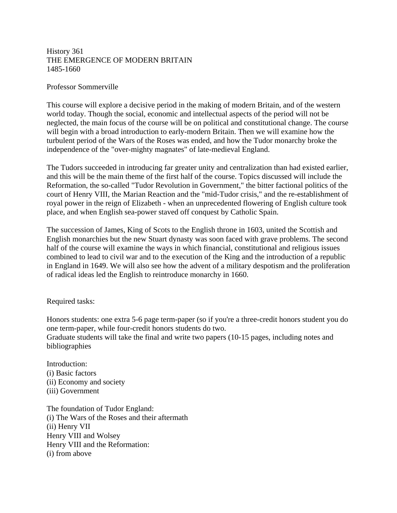## History 361 THE EMERGENCE OF MODERN BRITAIN 1485-1660

## Professor Sommerville

This course will explore a decisive period in the making of modern Britain, and of the western world today. Though the social, economic and intellectual aspects of the period will not be neglected, the main focus of the course will be on political and constitutional change. The course will begin with a broad introduction to early-modern Britain. Then we will examine how the turbulent period of the Wars of the Roses was ended, and how the Tudor monarchy broke the independence of the "over-mighty magnates" of late-medieval England.

The Tudors succeeded in introducing far greater unity and centralization than had existed earlier, and this will be the main theme of the first half of the course. Topics discussed will include the Reformation, the so-called "Tudor Revolution in Government," the bitter factional politics of the court of Henry VIII, the Marian Reaction and the "mid-Tudor crisis," and the re-establishment of royal power in the reign of Elizabeth - when an unprecedented flowering of English culture took place, and when English sea-power staved off conquest by Catholic Spain.

The succession of James, King of Scots to the English throne in 1603, united the Scottish and English monarchies but the new Stuart dynasty was soon faced with grave problems. The second half of the course will examine the ways in which financial, constitutional and religious issues combined to lead to civil war and to the execution of the King and the introduction of a republic in England in 1649. We will also see how the advent of a military despotism and the proliferation of radical ideas led the English to reintroduce monarchy in 1660.

Required tasks:

Honors students: one extra 5-6 page term-paper (so if you're a three-credit honors student you do one term-paper, while four-credit honors students do two. Graduate students will take the final and write two papers (10-15 pages, including notes and bibliographies

Introduction: (i) Basic factors (ii) Economy and society (iii) Government

The foundation of Tudor England: (i) The Wars of the Roses and their aftermath (ii) Henry VII Henry VIII and Wolsey Henry VIII and the Reformation: (i) from above